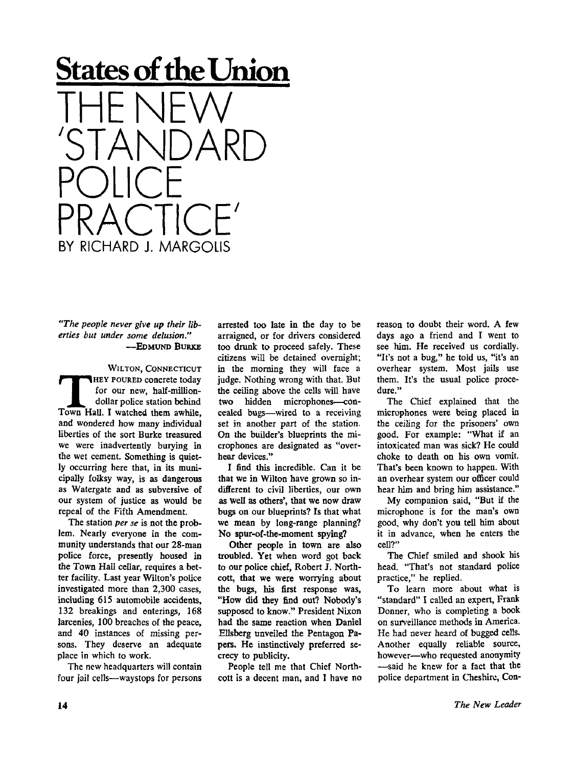

## *"The people never give up their liberties but under some delusion."*  --EDMUND BURKE

WILTON, CONNECTICUT WILTON, CONNECTICUT<br>
HEY POURED concrete today<br>
for our new, half-million-<br>
dollar police station behind<br>
Town Hall. I watched them awhile, HEY POURED concrete today for our new, half-milliondollar police station behind and wondered how many individual liberties of the sort Burke treasured we were inadvertently burying in the wet cement. Something is quietly occurring here that, in its municipally folksy way, is as dangerous as Watergate and as subversive of our system of justice as would be repeal of the Fifth Amendment.

The station *per se* is not the problem. Nearly everyone in the community understands that our 28-man police force, presently housed in the Town Hall cellar, requires a better facility. Last year Wilton's police investigated more than 2,300 cases, including 615 automobile accidents, 132 breakings and enterings, 168 larcenies, 100 breaches of the peace, and 40 instances of missing persons. They deserve an adequate place in which to work.

The new headquarters will contain four jail cells—waystops for persons arrested too late in the day to be arraigned, or for drivers considered too drunk to proceed safely. These citizens will be detained overnight; in the morning they will face a judge. Nothing wrong with that. But the ceiling above the cells will have two hidden microphones—concealed bugs—wired to a receiving set in another part of the station. On the builder's blueprints the microphones are designated as "overhear devices."

I find this incredible. Can it be that we in Wilton have grown so indifferent to civil liberties, our own as Well as others', that we now draw bugs on our blueprints? Is that what we mean by long-range planning? No spur-of-the-moment spying?

Other people in town are also troubled. Yet when word got back to our police chief, Robert J. Northcott, that we were worrying about the bugs, his first response was, "How did they find out? Nobody's supposed to know." President Nixon had the same reaction when Daniel Ellsberg unveiled the Pentagon Papers. He instinctively preferred secrecy to publicity.

People tell me that Chief Northcott is a decent man, and I have no reason to doubt their word. A few days ago a friend and I went to see him. He received us cordially. "It's not a bug," he told us, "it's an overhear system. Most jails use them. It's the usual police procedure."

The Chief explained that the microphones were being placed in the ceiling for the prisoners' own good. For example: "What if an intoxicated man was sick? He could choke to death on his own vomit. That's been known to happen. With an overhear system our officer could hear him and bring him assistance."

My companion said, "But if the microphone is for the man's own good, why don't you tell him about it in advance, when he enters the cell?"

The Chief smiled and shook his head. "That's not standard police practice," he replied.

To learn more about what is "standard" I called an expert, Frank Donner, who is completing a book on surveillance methods in America. He had never heard of bugged cells. Another equally reliable source, however—who requested anonymity —said he knew for a fact that the police department in Cheshire, Con-